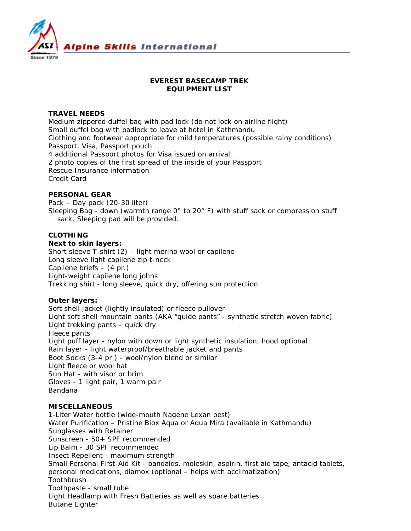

# **EVEREST BASECAMP TREK EQUIPMENT LIST**

## **TRAVEL NEEDS**

Medium zippered duffel bag with pad lock (do not lock on airline flight) Small duffel bag with padlock to leave at hotel in Kathmandu Clothing and footwear appropriate for mild temperatures (possible rainy conditions) Passport, Visa, Passport pouch 4 additional Passport photos for Visa issued on arrival 2 photo copies of the first spread of the inside of your Passport Rescue Insurance information Credit Card

#### **PERSONAL GEAR**

Pack – Day pack (20-30 liter) Sleeping Bag - down (warmth range 0° to 20° F) with stuff sack or compression stuff sack. Sleeping pad will be provided.

## **CLOTHING**

**Next to skin layers:**

Short sleeve T-shirt (2) – light merino wool or capilene Long sleeve light capilene zip t-neck Capilene briefs – (4 pr.) Light-weight capilene long johns Trekking shirt - long sleeve, quick dry, offering sun protection

## **Outer layers:**

Soft shell jacket (lightly insulated) or fleece pullover Light soft shell mountain pants (AKA "guide pants" - synthetic stretch woven fabric) Light trekking pants – quick dry Fleece pants Light puff layer - nylon with down or light synthetic insulation, hood optional Rain layer – light waterproof/breathable jacket and pants Boot Socks (3-4 pr.) - wool/nylon blend or similar Light fleece or wool hat Sun Hat - with visor or brim Gloves - 1 light pair, 1 warm pair Bandana

#### **MISCELLANEOUS**

1-Liter Water bottle (wide-mouth Nagene Lexan best) Water Purification – Pristine Biox Aqua or Aqua Mira (available in Kathmandu) Sunglasses with Retainer Sunscreen - 50+ SPF recommended Lip Balm - 30 SPF recommended Insect Repellent - maximum strength Small Personal First-Aid Kit - bandaids, moleskin, aspirin, first aid tape, antacid tablets, personal medications, diamox (optional – helps with acclimatization) Toothbrush Toothpaste - small tube Light Headlamp with Fresh Batteries as well as spare batteries Butane Lighter